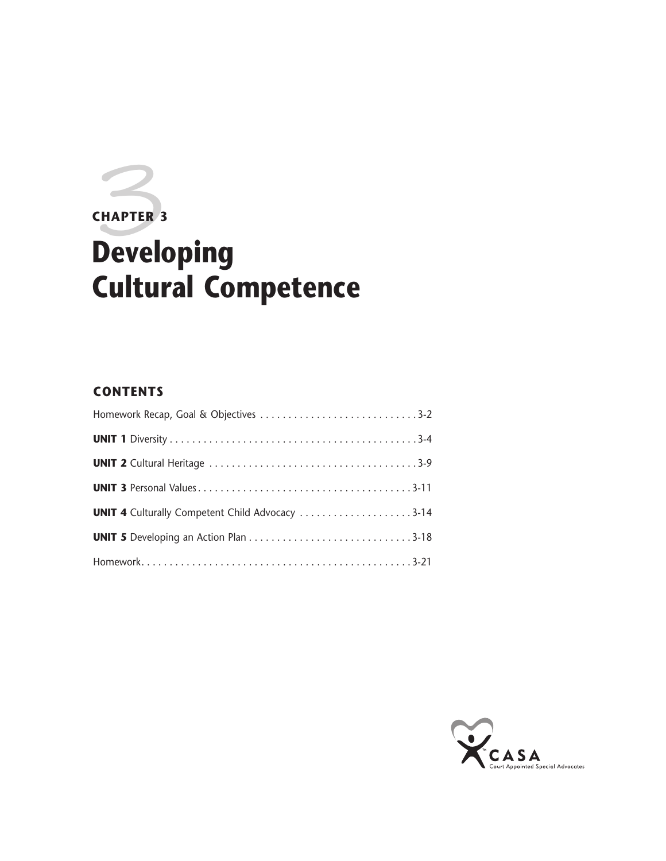# **CHAPTER 3**<br>Developing **CHAPTER 3 Cultural Competence**

# **CONTENTS**

| <b>UNIT 4</b> Culturally Competent Child Advocacy 3-14 |  |
|--------------------------------------------------------|--|
|                                                        |  |
|                                                        |  |

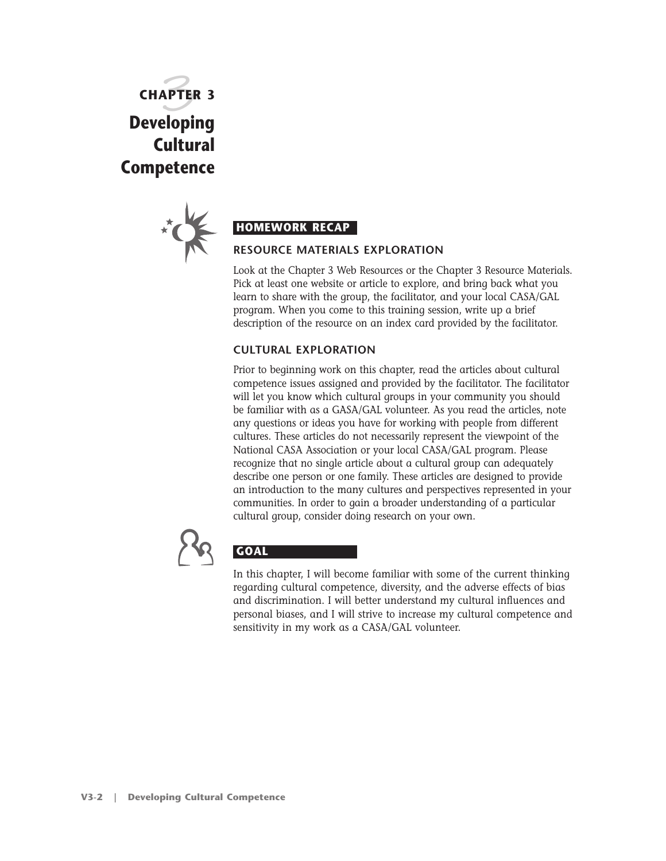**CHAPTER 3** 3 **Developing Cultural Competence**



Look at the Chapter 3 Web Resources or the Chapter 3 Resource Materials. Pick at least one website or article to explore, and bring back what you learn to share with the group, the facilitator, and your local CASA/GAL program. When you come to this training session, write up a brief description of the resource on an index card provided by the facilitator.

#### **CULTURAL EXPLORATION**

Prior to beginning work on this chapter, read the articles about cultural competence issues assigned and provided by the facilitator. The facilitator will let you know which cultural groups in your community you should be familiar with as a GASA/GAL volunteer. As you read the articles, note any questions or ideas you have for working with people from different cultures. These articles do not necessarily represent the viewpoint of the National CASA Association or your local CASA/GAL program. Please recognize that no single article about a cultural group can adequately describe one person or one family. These articles are designed to provide an introduction to the many cultures and perspectives represented in your communities. In order to gain a broader understanding of a particular cultural group, consider doing research on your own.



# **GOAL**

In this chapter, I will become familiar with some of the current thinking regarding cultural competence, diversity, and the adverse effects of bias and discrimination. I will better understand my cultural influences and personal biases, and I will strive to increase my cultural competence and sensitivity in my work as a CASA/GAL volunteer.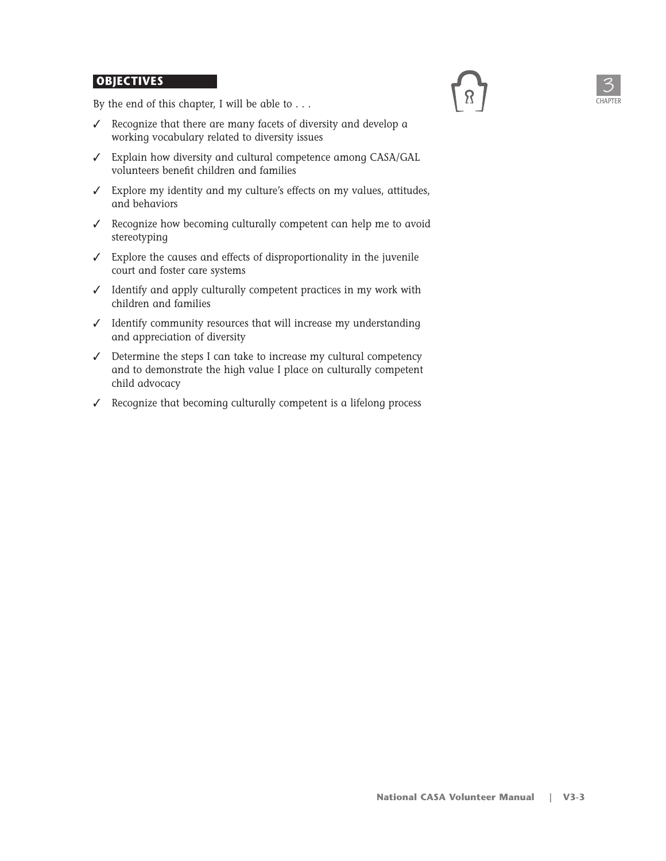#### **OBJECTIVES**

By the end of this chapter, I will be able to . . .

- ✓ Recognize that there are many facets of diversity and develop a working vocabulary related to diversity issues
- ✓ Explain how diversity and cultural competence among CASA/GAL volunteers benefit children and families
- ✓ Explore my identity and my culture's effects on my values, attitudes, and behaviors
- ✓ Recognize how becoming culturally competent can help me to avoid stereotyping
- ✓ Explore the causes and effects of disproportionality in the juvenile court and foster care systems
- ✓ Identify and apply culturally competent practices in my work with children and families
- ✓ Identify community resources that will increase my understanding and appreciation of diversity
- ✓ Determine the steps I can take to increase my cultural competency and to demonstrate the high value I place on culturally competent child advocacy
- ✓ Recognize that becoming culturally competent is a lifelong process



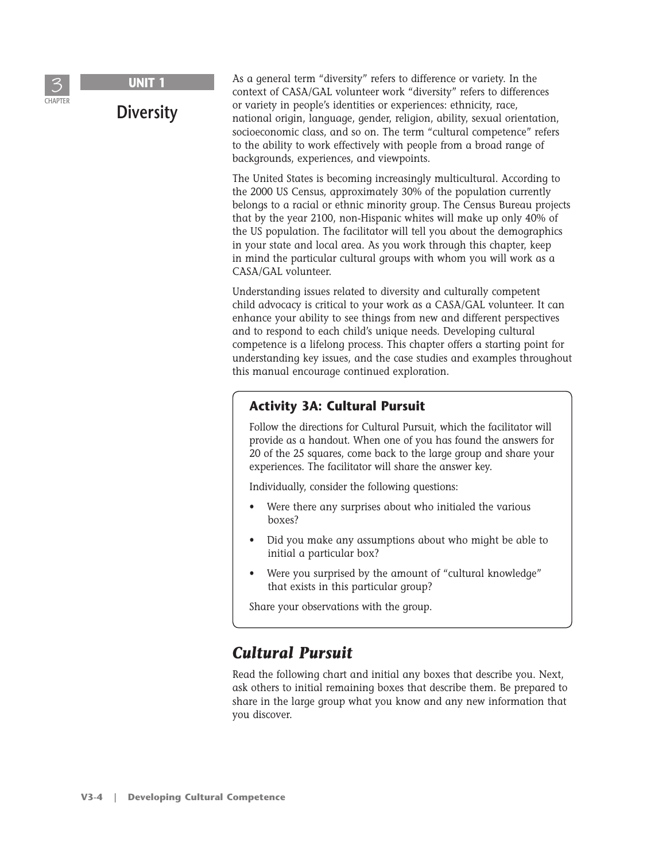

**Diversity**

As a general term "diversity" refers to difference or variety. In the context of CASA/GAL volunteer work "diversity" refers to differences or variety in people's identities or experiences: ethnicity, race, national origin, language, gender, religion, ability, sexual orientation, socioeconomic class, and so on. The term "cultural competence" refers to the ability to work effectively with people from a broad range of backgrounds, experiences, and viewpoints.

The United States is becoming increasingly multicultural. According to the 2000 US Census, approximately 30% of the population currently belongs to a racial or ethnic minority group. The Census Bureau projects that by the year 2100, non-Hispanic whites will make up only 40% of the US population. The facilitator will tell you about the demographics in your state and local area. As you work through this chapter, keep in mind the particular cultural groups with whom you will work as a CASA/GAL volunteer.

Understanding issues related to diversity and culturally competent child advocacy is critical to your work as a CASA/GAL volunteer. It can enhance your ability to see things from new and different perspectives and to respond to each child's unique needs. Developing cultural competence is a lifelong process. This chapter offers a starting point for understanding key issues, and the case studies and examples throughout this manual encourage continued exploration.

#### **Activity 3A: Cultural Pursuit**

Follow the directions for Cultural Pursuit, which the facilitator will provide as a handout. When one of you has found the answers for 20 of the 25 squares, come back to the large group and share your experiences. The facilitator will share the answer key.

Individually, consider the following questions:

- Were there any surprises about who initialed the various boxes?
- Did you make any assumptions about who might be able to initial a particular box?
- Were you surprised by the amount of "cultural knowledge" that exists in this particular group?

Share your observations with the group.

# *Cultural Pursuit*

Read the following chart and initial any boxes that describe you. Next, ask others to initial remaining boxes that describe them. Be prepared to share in the large group what you know and any new information that you discover.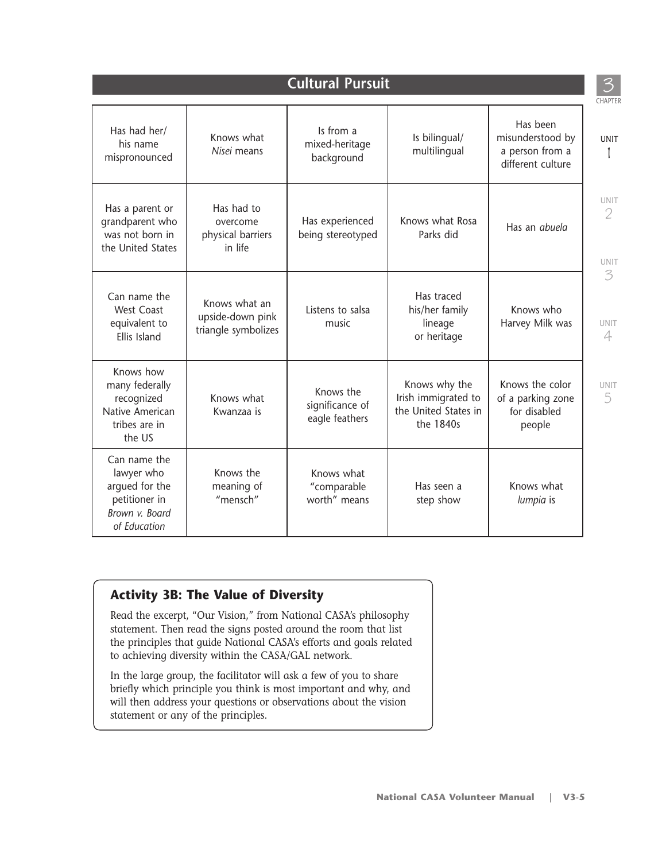| <b>Cultural Pursuit</b>                                                                         |                                                          |                                                |                                                                           |                                                                      |  |  |
|-------------------------------------------------------------------------------------------------|----------------------------------------------------------|------------------------------------------------|---------------------------------------------------------------------------|----------------------------------------------------------------------|--|--|
| Has had her/<br>his name<br>mispronounced                                                       | Knows what<br>Nisei means                                | Is from a<br>mixed-heritage<br>background      | Is bilingual/<br>multilingual                                             | Has been<br>misunderstood by<br>a person from a<br>different culture |  |  |
| Has a parent or<br>grandparent who<br>was not born in<br>the United States                      | Has had to<br>overcome<br>physical barriers<br>in life   | Has experienced<br>being stereotyped           | Knows what Rosa<br>Parks did                                              | Has an abuela                                                        |  |  |
| Can name the<br><b>West Coast</b><br>equivalent to<br>Ellis Island                              | Knows what an<br>upside-down pink<br>triangle symbolizes | Listens to salsa<br>music                      | Has traced<br>his/her family<br>lineage<br>or heritage                    | Knows who<br>Harvey Milk was                                         |  |  |
| Knows how<br>many federally<br>recognized<br>Native American<br>tribes are in<br>the US         | Knows what<br>Kwanzaa is                                 | Knows the<br>significance of<br>eagle feathers | Knows why the<br>Irish immigrated to<br>the United States in<br>the 1840s | Knows the color<br>of a parking zone<br>for disabled<br>people       |  |  |
| Can name the<br>lawyer who<br>argued for the<br>petitioner in<br>Brown v. Board<br>of Education | Knows the<br>meaning of<br>"mensch"                      | Knows what<br>"comparable<br>worth" means      | Has seen a<br>step show                                                   | Knows what<br>lumpia is                                              |  |  |

#### **Activity 3B: The Value of Diversity**

Read the excerpt, "Our Vision," from National CASA's philosophy statement. Then read the signs posted around the room that list the principles that guide National CASA's efforts and goals related to achieving diversity within the CASA/GAL network.

In the large group, the facilitator will ask a few of you to share briefly which principle you think is most important and why, and will then address your questions or observations about the vision statement or any of the principles.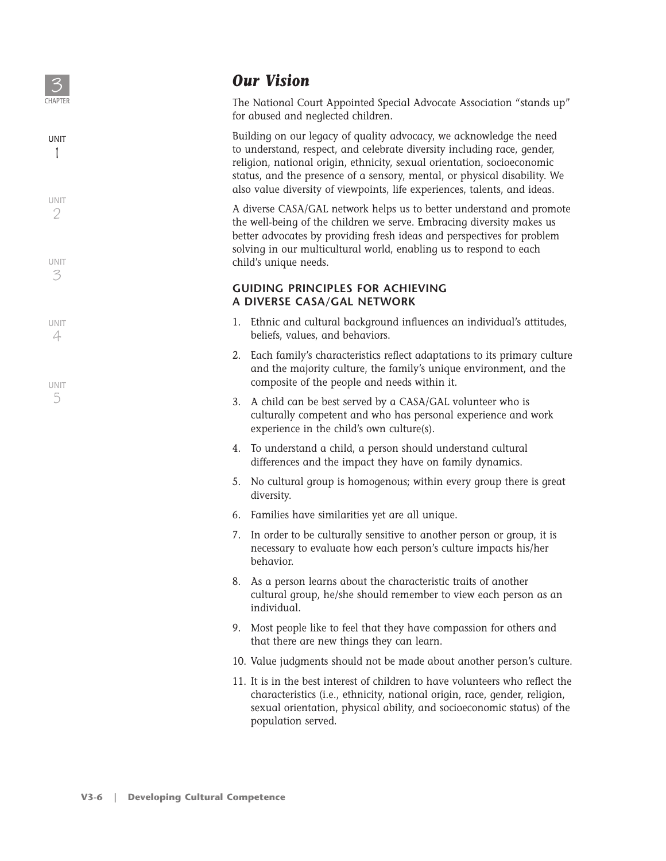

1

UNIT 3

UNIT 4

UNIT 5

UNIT 2

# *Our Vision*

The National Court Appointed Special Advocate Association "stands up" for abused and neglected children.

Building on our legacy of quality advocacy, we acknowledge the need to understand, respect, and celebrate diversity including race, gender, religion, national origin, ethnicity, sexual orientation, socioeconomic status, and the presence of a sensory, mental, or physical disability. We also value diversity of viewpoints, life experiences, talents, and ideas.

A diverse CASA/GAL network helps us to better understand and promote the well-being of the children we serve. Embracing diversity makes us better advocates by providing fresh ideas and perspectives for problem solving in our multicultural world, enabling us to respond to each child's unique needs.

#### **GUIDING PRINCIPLES FOR ACHIEVING A DIVERSE CASA/GAL NETWORK**

- 1. Ethnic and cultural background influences an individual's attitudes, beliefs, values, and behaviors.
- 2. Each family's characteristics reflect adaptations to its primary culture and the majority culture, the family's unique environment, and the composite of the people and needs within it.
- 3. A child can be best served by a CASA/GAL volunteer who is culturally competent and who has personal experience and work experience in the child's own culture(s).
- 4. To understand a child, a person should understand cultural differences and the impact they have on family dynamics.
- 5. No cultural group is homogenous; within every group there is great diversity.
- 6. Families have similarities yet are all unique.
- 7. In order to be culturally sensitive to another person or group, it is necessary to evaluate how each person's culture impacts his/her behavior.
- 8. As a person learns about the characteristic traits of another cultural group, he/she should remember to view each person as an individual.
- 9. Most people like to feel that they have compassion for others and that there are new things they can learn.
- 10. Value judgments should not be made about another person's culture.
- 11. It is in the best interest of children to have volunteers who reflect the characteristics (i.e., ethnicity, national origin, race, gender, religion, sexual orientation, physical ability, and socioeconomic status) of the population served.

**V3-6 | Developing Cultural Competence**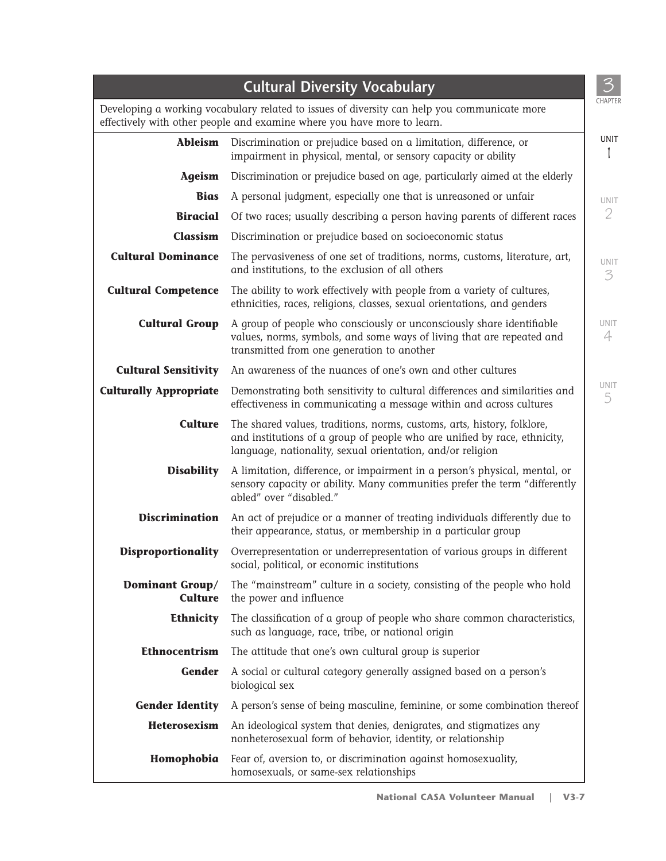|                                   | <b>Cultural Diversity Vocabulary</b>                                                                                                                                                                               |
|-----------------------------------|--------------------------------------------------------------------------------------------------------------------------------------------------------------------------------------------------------------------|
|                                   | Developing a working vocabulary related to issues of diversity can help you communicate more<br>effectively with other people and examine where you have more to learn.                                            |
| <b>Ableism</b>                    | Discrimination or prejudice based on a limitation, difference, or<br>impairment in physical, mental, or sensory capacity or ability                                                                                |
| Ageism                            | Discrimination or prejudice based on age, particularly aimed at the elderly                                                                                                                                        |
| <b>Bias</b>                       | A personal judgment, especially one that is unreasoned or unfair                                                                                                                                                   |
| <b>Biracial</b>                   | Of two races; usually describing a person having parents of different races                                                                                                                                        |
| Classism                          | Discrimination or prejudice based on socioeconomic status                                                                                                                                                          |
| <b>Cultural Dominance</b>         | The pervasiveness of one set of traditions, norms, customs, literature, art,<br>and institutions, to the exclusion of all others                                                                                   |
| <b>Cultural Competence</b>        | The ability to work effectively with people from a variety of cultures,<br>ethnicities, races, religions, classes, sexual orientations, and genders                                                                |
| <b>Cultural Group</b>             | A group of people who consciously or unconsciously share identifiable<br>values, norms, symbols, and some ways of living that are repeated and<br>transmitted from one generation to another                       |
| <b>Cultural Sensitivity</b>       | An awareness of the nuances of one's own and other cultures                                                                                                                                                        |
| <b>Culturally Appropriate</b>     | Demonstrating both sensitivity to cultural differences and similarities and<br>effectiveness in communicating a message within and across cultures                                                                 |
| <b>Culture</b>                    | The shared values, traditions, norms, customs, arts, history, folklore,<br>and institutions of a group of people who are unified by race, ethnicity,<br>language, nationality, sexual orientation, and/or religion |
| <b>Disability</b>                 | A limitation, difference, or impairment in a person's physical, mental, or<br>sensory capacity or ability. Many communities prefer the term "differently<br>abled" over "disabled."                                |
| <b>Discrimination</b>             | An act of prejudice or a manner of treating individuals differently due to<br>their appearance, status, or membership in a particular group                                                                        |
| <b>Disproportionality</b>         | Overrepresentation or underrepresentation of various groups in different<br>social, political, or economic institutions                                                                                            |
| Dominant Group/<br><b>Culture</b> | The "mainstream" culture in a society, consisting of the people who hold<br>the power and influence                                                                                                                |
| Ethnicity                         | The classification of a group of people who share common characteristics,<br>such as language, race, tribe, or national origin                                                                                     |
| <b>Ethnocentrism</b>              | The attitude that one's own cultural group is superior                                                                                                                                                             |
| Gender                            | A social or cultural category generally assigned based on a person's<br>biological sex                                                                                                                             |
| <b>Gender Identity</b>            | A person's sense of being masculine, feminine, or some combination thereof                                                                                                                                         |
| Heterosexism                      | An ideological system that denies, denigrates, and stigmatizes any<br>nonheterosexual form of behavior, identity, or relationship                                                                                  |
| Homophobia                        | Fear of, aversion to, or discrimination against homosexuality,<br>homosexuals, or same-sex relationships                                                                                                           |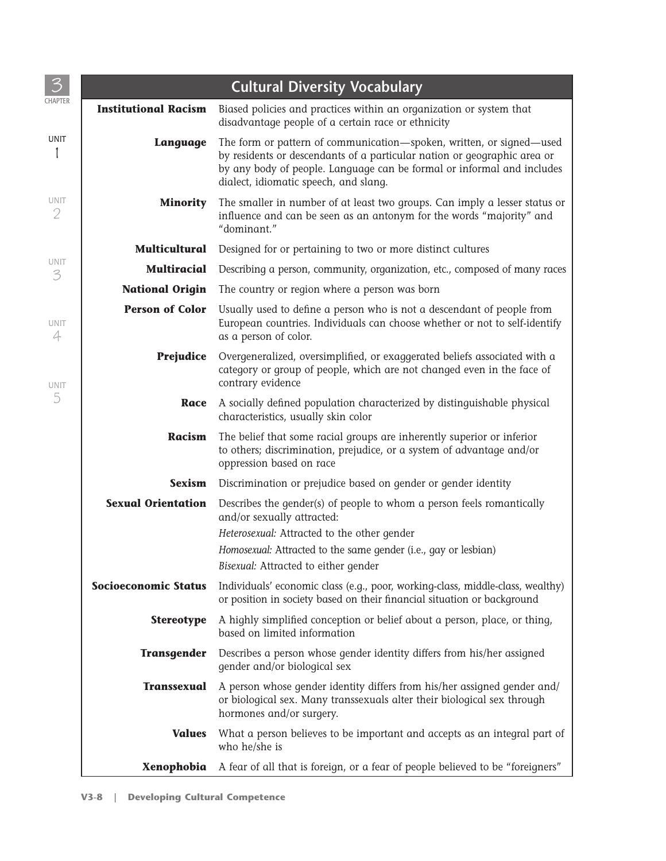|                             | <b>Cultural Diversity Vocabulary</b>                                                                                                                                                                                                                                |  |  |  |  |  |
|-----------------------------|---------------------------------------------------------------------------------------------------------------------------------------------------------------------------------------------------------------------------------------------------------------------|--|--|--|--|--|
| <b>Institutional Racism</b> | Biased policies and practices within an organization or system that<br>disadvantage people of a certain race or ethnicity                                                                                                                                           |  |  |  |  |  |
| Language                    | The form or pattern of communication-spoken, written, or signed-used<br>by residents or descendants of a particular nation or geographic area or<br>by any body of people. Language can be formal or informal and includes<br>dialect, idiomatic speech, and slang. |  |  |  |  |  |
| <b>Minority</b>             | The smaller in number of at least two groups. Can imply a lesser status or<br>influence and can be seen as an antonym for the words "majority" and<br>"dominant."                                                                                                   |  |  |  |  |  |
| <b>Multicultural</b>        | Designed for or pertaining to two or more distinct cultures                                                                                                                                                                                                         |  |  |  |  |  |
| <b>Multiracial</b>          | Describing a person, community, organization, etc., composed of many races                                                                                                                                                                                          |  |  |  |  |  |
| <b>National Origin</b>      | The country or region where a person was born                                                                                                                                                                                                                       |  |  |  |  |  |
| <b>Person of Color</b>      | Usually used to define a person who is not a descendant of people from<br>European countries. Individuals can choose whether or not to self-identify<br>as a person of color.                                                                                       |  |  |  |  |  |
| <b>Prejudice</b>            | Overgeneralized, oversimplified, or exaggerated beliefs associated with a<br>category or group of people, which are not changed even in the face of<br>contrary evidence                                                                                            |  |  |  |  |  |
| Race                        | A socially defined population characterized by distinguishable physical<br>characteristics, usually skin color                                                                                                                                                      |  |  |  |  |  |
| <b>Racism</b>               | The belief that some racial groups are inherently superior or inferior<br>to others; discrimination, prejudice, or a system of advantage and/or<br>oppression based on race                                                                                         |  |  |  |  |  |
| <b>Sexism</b>               | Discrimination or prejudice based on gender or gender identity                                                                                                                                                                                                      |  |  |  |  |  |
| <b>Sexual Orientation</b>   | Describes the gender(s) of people to whom a person feels romantically<br>and/or sexually attracted:<br>Heterosexual: Attracted to the other gender<br>Homosexual: Attracted to the same gender (i.e., gay or lesbian)<br>Bisexual: Attracted to either gender       |  |  |  |  |  |
| <b>Socioeconomic Status</b> | Individuals' economic class (e.g., poor, working-class, middle-class, wealthy)<br>or position in society based on their financial situation or background                                                                                                           |  |  |  |  |  |
| <b>Stereotype</b>           | A highly simplified conception or belief about a person, place, or thing,<br>based on limited information                                                                                                                                                           |  |  |  |  |  |
| <b>Transgender</b>          | Describes a person whose gender identity differs from his/her assigned<br>gender and/or biological sex                                                                                                                                                              |  |  |  |  |  |
| <b>Transsexual</b>          | A person whose gender identity differs from his/her assigned gender and/<br>or biological sex. Many transsexuals alter their biological sex through<br>hormones and/or surgery.                                                                                     |  |  |  |  |  |
| <b>Values</b>               | What a person believes to be important and accepts as an integral part of<br>who he/she is                                                                                                                                                                          |  |  |  |  |  |
| Xenophobia                  | A fear of all that is foreign, or a fear of people believed to be "foreigners"                                                                                                                                                                                      |  |  |  |  |  |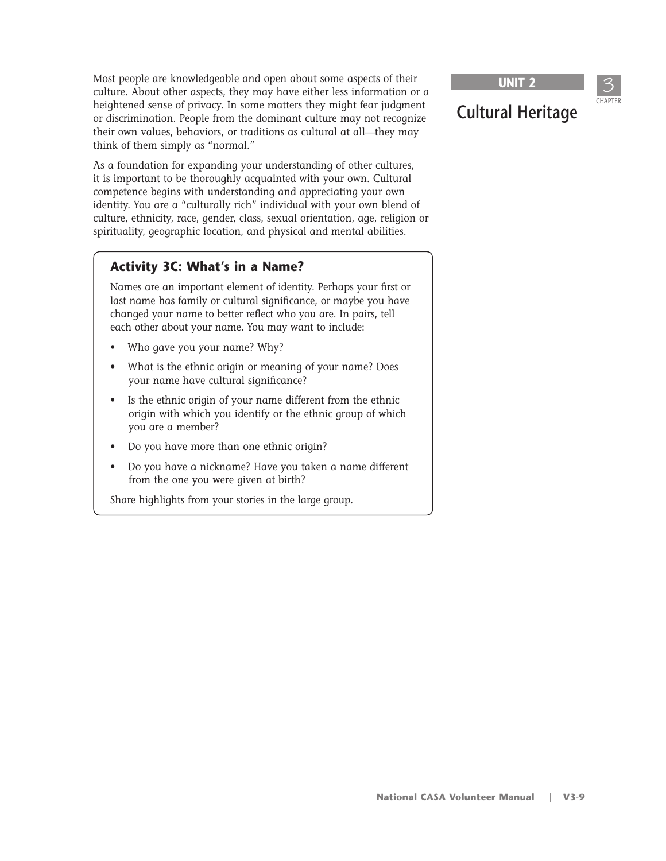Most people are knowledgeable and open about some aspects of their culture. About other aspects, they may have either less information or a heightened sense of privacy. In some matters they might fear judgment or discrimination. People from the dominant culture may not recognize their own values, behaviors, or traditions as cultural at all—they may think of them simply as "normal."

As a foundation for expanding your understanding of other cultures, it is important to be thoroughly acquainted with your own. Cultural competence begins with understanding and appreciating your own identity. You are a "culturally rich" individual with your own blend of culture, ethnicity, race, gender, class, sexual orientation, age, religion or spirituality, geographic location, and physical and mental abilities.

#### **Activity 3C: What's in a Name?**

Names are an important element of identity. Perhaps your first or last name has family or cultural significance, or maybe you have changed your name to better reflect who you are. In pairs, tell each other about your name. You may want to include:

- Who gave you your name? Why?
- What is the ethnic origin or meaning of your name? Does your name have cultural significance?
- Is the ethnic origin of your name different from the ethnic origin with which you identify or the ethnic group of which you are a member?
- Do you have more than one ethnic origin?
- Do you have a nickname? Have you taken a name different from the one you were given at birth?

Share highlights from your stories in the large group.

**UNIT 2**

**Cultural Heritage**

3 CHAPTER

# **National CASA Volunteer Manual | V3-9**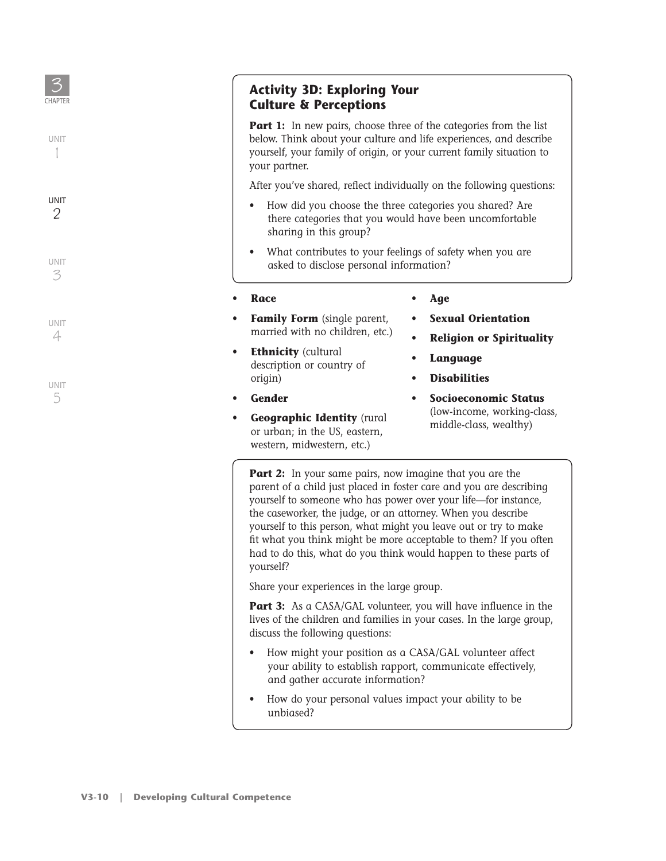

1

1

UNIT 3

UNIT 4

UNIT 5

#### **Activity 3D: Exploring Your Culture & Perceptions**

**Part 1:** In new pairs, choose three of the categories from the list below. Think about your culture and life experiences, and describe yourself, your family of origin, or your current family situation to your partner.

After you've shared, reflect individually on the following questions:

- How did you choose the three categories you shared? Are there categories that you would have been uncomfortable sharing in this group?
- What contributes to your feelings of safety when you are asked to disclose personal information?

• **Race**

- **Family Form** (single parent, married with no children, etc.)
- **Ethnicity** (cultural description or country of origin)
- **Gender**
- **Geographic Identity** (rural or urban; in the US, eastern, western, midwestern, etc.)

#### • **Age**

• **Sexual Orientation**

- **Religion or Spirituality**
- **Language**
- **Disabilities**
- **Socioeconomic Status**  (low-income, working-class, middle-class, wealthy)

**Part 2:** In your same pairs, now imagine that you are the parent of a child just placed in foster care and you are describing yourself to someone who has power over your life—for instance, the caseworker, the judge, or an attorney. When you describe yourself to this person, what might you leave out or try to make fit what you think might be more acceptable to them? If you often had to do this, what do you think would happen to these parts of yourself?

Share your experiences in the large group.

**Part 3:** As a CASA/GAL volunteer, you will have influence in the lives of the children and families in your cases. In the large group, discuss the following questions:

- How might your position as a CASA/GAL volunteer affect your ability to establish rapport, communicate effectively, and gather accurate information?
- How do your personal values impact your ability to be unbiased?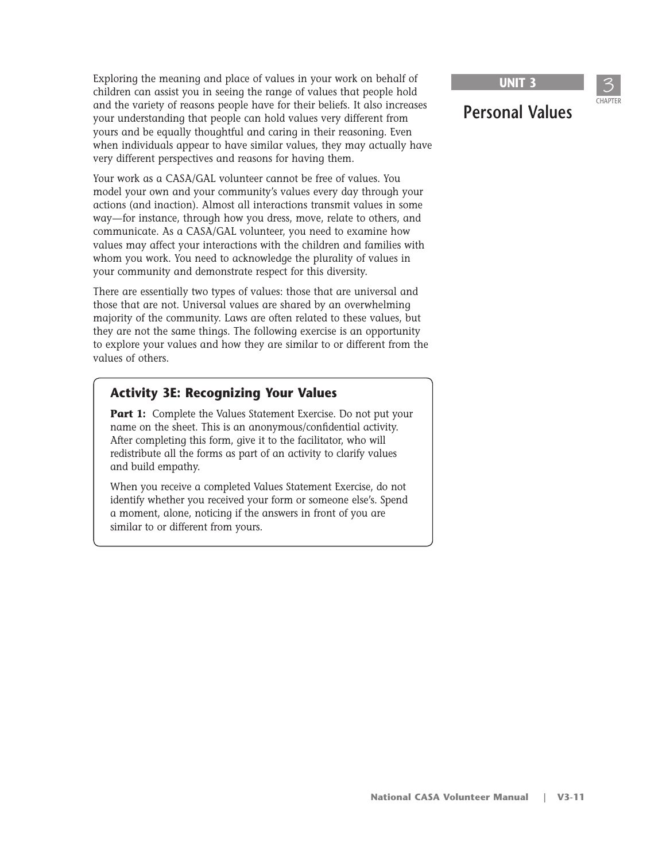Exploring the meaning and place of values in your work on behalf of children can assist you in seeing the range of values that people hold and the variety of reasons people have for their beliefs. It also increases your understanding that people can hold values very different from yours and be equally thoughtful and caring in their reasoning. Even when individuals appear to have similar values, they may actually have very different perspectives and reasons for having them.

Your work as a CASA/GAL volunteer cannot be free of values. You model your own and your community's values every day through your actions (and inaction). Almost all interactions transmit values in some way—for instance, through how you dress, move, relate to others, and communicate. As a CASA/GAL volunteer, you need to examine how values may affect your interactions with the children and families with whom you work. You need to acknowledge the plurality of values in your community and demonstrate respect for this diversity.

There are essentially two types of values: those that are universal and those that are not. Universal values are shared by an overwhelming majority of the community. Laws are often related to these values, but they are not the same things. The following exercise is an opportunity to explore your values and how they are similar to or different from the values of others.

#### **Activity 3E: Recognizing Your Values**

**Part 1:** Complete the Values Statement Exercise. Do not put your name on the sheet. This is an anonymous/confidential activity. After completing this form, give it to the facilitator, who will redistribute all the forms as part of an activity to clarify values and build empathy.

When you receive a completed Values Statement Exercise, do not identify whether you received your form or someone else's. Spend a moment, alone, noticing if the answers in front of you are similar to or different from yours.

**UNIT 3**

**Personal Values**

3 CHAPTER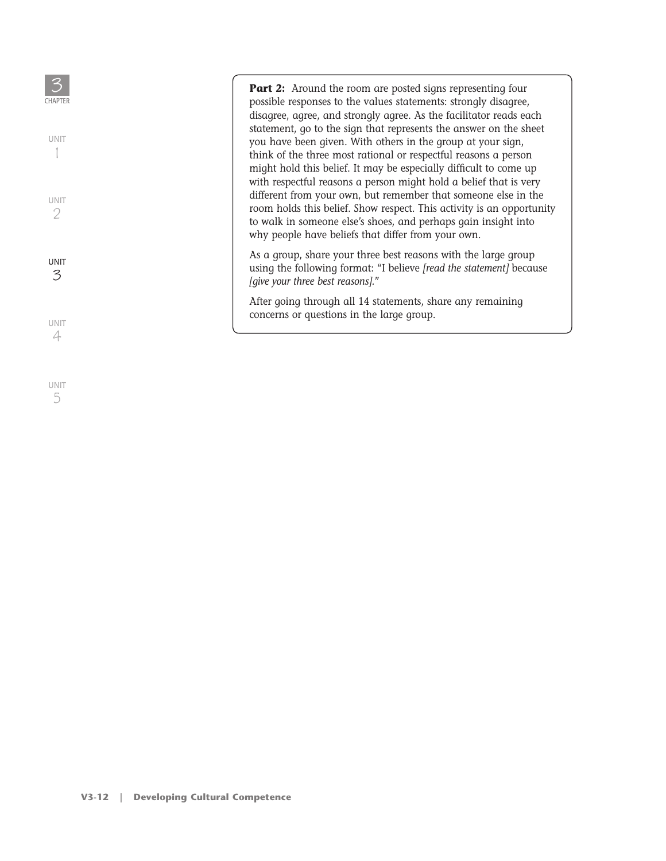3 **Part 2:** Around the room are posted signs representing four **CHAPTER** possible responses to the values statements: strongly disagree, disagree, agree, and strongly agree. As the facilitator reads each statement, go to the sign that represents the answer on the sheet UNIT you have been given. With others in the group at your sign, 1 1 think of the three most rational or respectful reasons a person might hold this belief. It may be especially difficult to come up with respectful reasons a person might hold a belief that is very different from your own, but remember that someone else in the UNIT room holds this belief. Show respect. This activity is an opportunity 2 to walk in someone else's shoes, and perhaps gain insight into why people have beliefs that differ from your own. As a group, share your three best reasons with the large group UNIT using the following format: "I believe *[read the statement]* because 3 *[give your three best reasons].*" After going through all 14 statements, share any remaining concerns or questions in the large group.UNIT 4

UNIT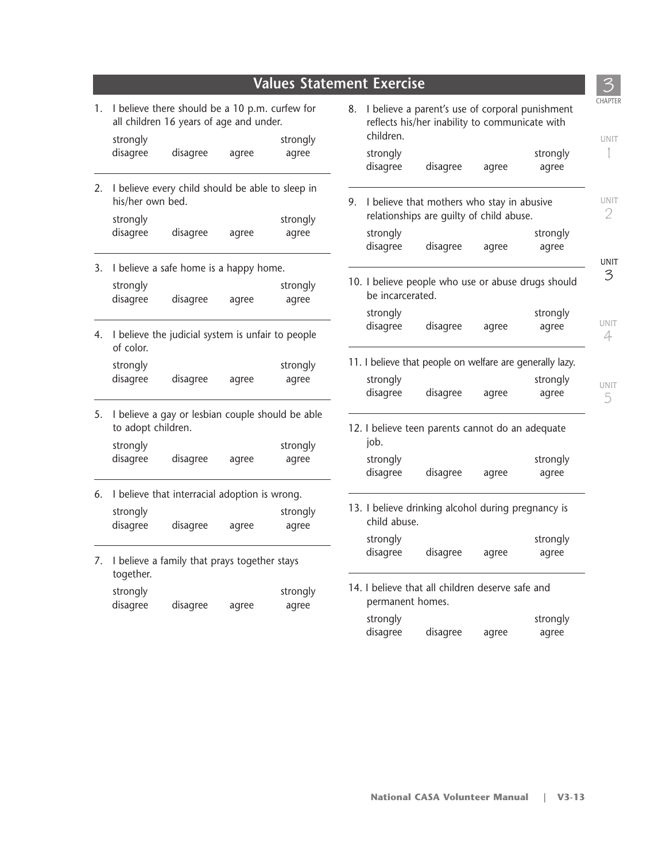|    |                                                                                           |                                                      |                                                                                                         | <b>Values Statement Exercise</b>              |  |                                                          |                                                    |       |          |
|----|-------------------------------------------------------------------------------------------|------------------------------------------------------|---------------------------------------------------------------------------------------------------------|-----------------------------------------------|--|----------------------------------------------------------|----------------------------------------------------|-------|----------|
| 1. | I believe there should be a 10 p.m. curfew for<br>all children 16 years of age and under. |                                                      | I believe a parent's use of corporal punishment<br>8.<br>reflects his/her inability to communicate with |                                               |  |                                                          |                                                    |       |          |
|    | strongly                                                                                  |                                                      |                                                                                                         | strongly                                      |  | children.                                                |                                                    |       |          |
|    | disagree                                                                                  | disagree                                             | agree                                                                                                   | agree                                         |  | strongly                                                 |                                                    |       | strongly |
|    |                                                                                           |                                                      |                                                                                                         |                                               |  | disagree                                                 | disagree                                           | agree | agree    |
|    | 2. I believe every child should be able to sleep in<br>his/her own bed.                   |                                                      |                                                                                                         | 9. I believe that mothers who stay in abusive |  |                                                          |                                                    |       |          |
|    | strongly                                                                                  |                                                      | relationships are guilty of child abuse.<br>strongly                                                    |                                               |  |                                                          |                                                    |       |          |
|    | disagree                                                                                  | disagree                                             | agree                                                                                                   | agree                                         |  | strongly                                                 |                                                    |       | strongly |
|    |                                                                                           |                                                      |                                                                                                         |                                               |  | disagree                                                 | disagree                                           | agree | agree    |
| 3. |                                                                                           | I believe a safe home is a happy home.               |                                                                                                         |                                               |  |                                                          |                                                    |       |          |
|    | strongly                                                                                  |                                                      |                                                                                                         | strongly                                      |  | 10. I believe people who use or abuse drugs should       |                                                    |       |          |
|    | disagree                                                                                  | disagree                                             | agree                                                                                                   | agree                                         |  | be incarcerated.                                         |                                                    |       |          |
|    |                                                                                           |                                                      |                                                                                                         |                                               |  | strongly                                                 |                                                    |       | strongly |
|    | of color.                                                                                 | 4. I believe the judicial system is unfair to people |                                                                                                         |                                               |  | disagree                                                 | disagree                                           | agree | agree    |
|    | strongly<br>strongly                                                                      |                                                      |                                                                                                         |                                               |  | 11. I believe that people on welfare are generally lazy. |                                                    |       |          |
|    | disagree                                                                                  | disagree                                             | agree                                                                                                   | agree                                         |  | strongly                                                 |                                                    |       | strongly |
|    |                                                                                           |                                                      |                                                                                                         |                                               |  | disagree                                                 | disagree                                           | agree | agree    |
| 5. | to adopt children.                                                                        | I believe a gay or lesbian couple should be able     |                                                                                                         |                                               |  |                                                          | 12. I believe teen parents cannot do an adequate   |       |          |
|    | strongly                                                                                  |                                                      |                                                                                                         | strongly                                      |  | job.                                                     |                                                    |       |          |
|    | disagree                                                                                  | disagree                                             | agree                                                                                                   | agree                                         |  | strongly                                                 |                                                    |       | strongly |
|    |                                                                                           |                                                      |                                                                                                         |                                               |  | disagree                                                 | disagree                                           | agree | agree    |
| 6. |                                                                                           | I believe that interracial adoption is wrong.        |                                                                                                         |                                               |  |                                                          |                                                    |       |          |
|    | strongly                                                                                  |                                                      |                                                                                                         | strongly                                      |  |                                                          | 13. I believe drinking alcohol during pregnancy is |       |          |
|    | disagree                                                                                  | disagree                                             | agree                                                                                                   | agree                                         |  | child abuse.                                             |                                                    |       |          |
|    |                                                                                           |                                                      |                                                                                                         |                                               |  | strongly                                                 |                                                    |       | strongly |
|    |                                                                                           | 7. I believe a family that prays together stays      |                                                                                                         |                                               |  | disagree                                                 | disagree                                           | agree | agree    |
|    | together.                                                                                 |                                                      |                                                                                                         |                                               |  |                                                          |                                                    |       |          |
|    | strongly                                                                                  |                                                      |                                                                                                         | strongly                                      |  |                                                          | 14. I believe that all children deserve safe and   |       |          |
|    | disagree<br>disagree<br>agree<br>agree                                                    |                                                      |                                                                                                         | permanent homes.                              |  |                                                          |                                                    |       |          |
|    |                                                                                           |                                                      |                                                                                                         |                                               |  | strongly                                                 |                                                    |       | strongly |
|    |                                                                                           |                                                      |                                                                                                         |                                               |  | disagree                                                 | disagree                                           | agree | agree    |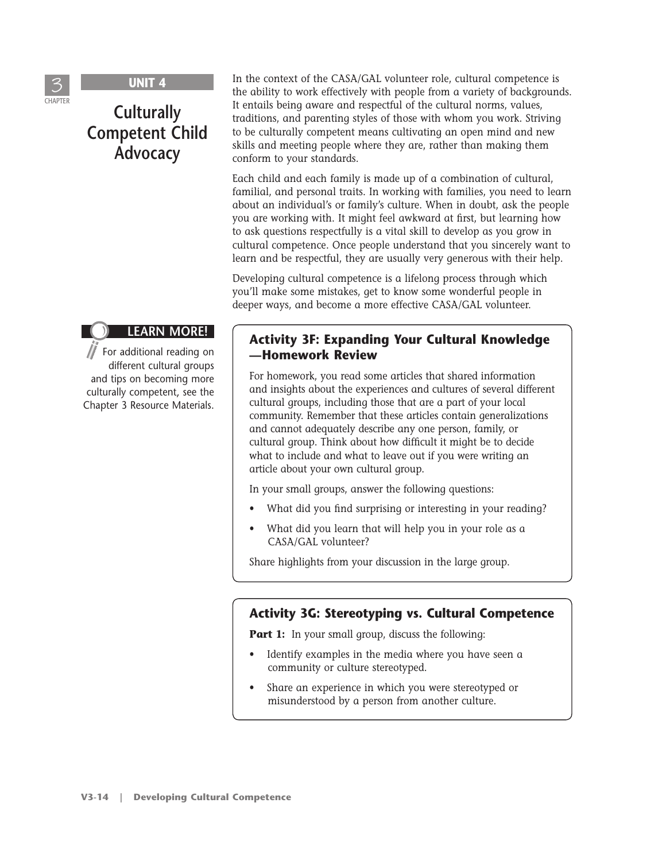

# **Culturally Competent Child Advocacy**

#### **LEARN MORE!**

For additional reading on different cultural groups and tips on becoming more culturally competent, see the Chapter 3 Resource Materials. In the context of the CASA/GAL volunteer role, cultural competence is the ability to work effectively with people from a variety of backgrounds. It entails being aware and respectful of the cultural norms, values, traditions, and parenting styles of those with whom you work. Striving to be culturally competent means cultivating an open mind and new skills and meeting people where they are, rather than making them conform to your standards.

Each child and each family is made up of a combination of cultural, familial, and personal traits. In working with families, you need to learn about an individual's or family's culture. When in doubt, ask the people you are working with. It might feel awkward at first, but learning how to ask questions respectfully is a vital skill to develop as you grow in cultural competence. Once people understand that you sincerely want to learn and be respectful, they are usually very generous with their help.

Developing cultural competence is a lifelong process through which you'll make some mistakes, get to know some wonderful people in deeper ways, and become a more effective CASA/GAL volunteer.

#### **Activity 3F: Expanding Your Cultural Knowledge —Homework Review**

For homework, you read some articles that shared information and insights about the experiences and cultures of several different cultural groups, including those that are a part of your local community. Remember that these articles contain generalizations and cannot adequately describe any one person, family, or cultural group. Think about how difficult it might be to decide what to include and what to leave out if you were writing an article about your own cultural group.

In your small groups, answer the following questions:

- What did you find surprising or interesting in your reading?
- What did you learn that will help you in your role as a CASA/GAL volunteer?

Share highlights from your discussion in the large group.

#### **Activity 3G: Stereotyping vs. Cultural Competence**

**Part 1:** In your small group, discuss the following:

- Identify examples in the media where you have seen a community or culture stereotyped.
- Share an experience in which you were stereotyped or misunderstood by a person from another culture.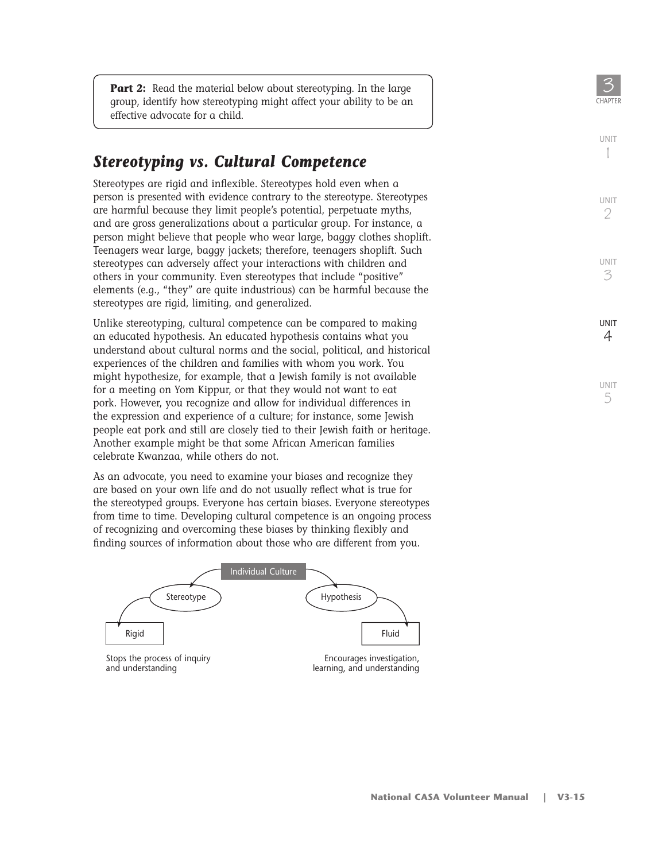**Part 2:** Read the material below about stereotyping. In the large group, identify how stereotyping might affect your ability to be an effective advocate for a child.

## **Stereotyping vs. Cultural Competence**

Stereotypes are rigid and inflexible. Stereotypes hold even when a person is presented with evidence contrary to the stereotype. Stereotypes are harmful because they limit people's potential, perpetuate myths, and are gross generalizations about a particular group. For instance, a person might believe that people who wear large, baggy clothes shoplift. Teenagers wear large, baggy jackets; therefore, teenagers shoplift. Such stereotypes can adversely affect your interactions with children and others in your community. Even stereotypes that include "positive" elements (e.g., "they" are quite industrious) can be harmful because the stereotypes are rigid, limiting, and generalized.

Unlike stereotyping, cultural competence can be compared to making an educated hypothesis. An educated hypothesis contains what you understand about cultural norms and the social, political, and historical experiences of the children and families with whom you work. You might hypothesize, for example, that a Jewish family is not available for a meeting on Yom Kippur, or that they would not want to eat pork. However, you recognize and allow for individual differences in the expression and experience of a culture; for instance, some Jewish people eat pork and still are closely tied to their Jewish faith or heritage. Another example might be that some African American families celebrate Kwanzaa, while others do not.

As an advocate, you need to examine your biases and recognize they are based on your own life and do not usually reflect what is true for the stereotyped groups. Everyone has certain biases. Everyone stereotypes from time to time. Developing cultural competence is an ongoing process of recognizing and overcoming these biases by thinking flexibly and finding sources of information about those who are different from you.



CHAPTFI

UNIT

UNIT 2

UNIT 3

**IINIT** 4

UNIT 5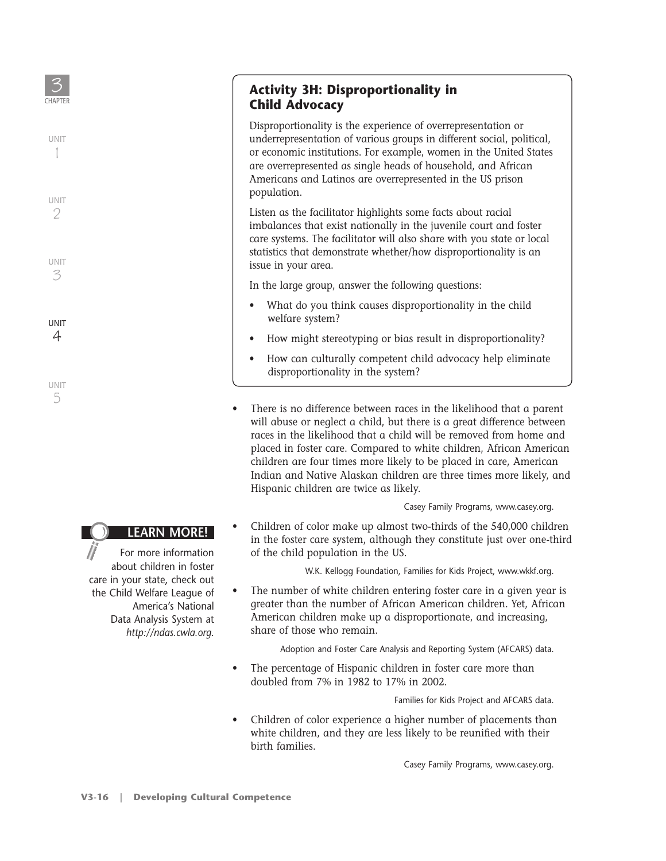UNIT 3

UNIT 2

UNIT 4

UNIT 5

#### **Activity 3H: Disproportionality in Child Advocacy**

Disproportionality is the experience of overrepresentation or underrepresentation of various groups in different social, political, or economic institutions. For example, women in the United States are overrepresented as single heads of household, and African Americans and Latinos are overrepresented in the US prison population.

Listen as the facilitator highlights some facts about racial imbalances that exist nationally in the juvenile court and foster care systems. The facilitator will also share with you state or local statistics that demonstrate whether/how disproportionality is an issue in your area.

In the large group, answer the following questions:

- What do you think causes disproportionality in the child welfare system?
- How might stereotyping or bias result in disproportionality?
- How can culturally competent child advocacy help eliminate disproportionality in the system?
- There is no difference between races in the likelihood that a parent will abuse or neglect a child, but there is a great difference between races in the likelihood that a child will be removed from home and placed in foster care. Compared to white children, African American children are four times more likely to be placed in care, American Indian and Native Alaskan children are three times more likely, and Hispanic children are twice as likely.

Casey Family Programs, www.casey.org.

• Children of color make up almost two-thirds of the 540,000 children in the foster care system, although they constitute just over one-third of the child population in the US.

W.K. Kellogg Foundation, Families for Kids Project, www.wkkf.org.

• The number of white children entering foster care in a given year is greater than the number of African American children. Yet, African American children make up a disproportionate, and increasing, share of those who remain.

Adoption and Foster Care Analysis and Reporting System (AFCARS) data.

• The percentage of Hispanic children in foster care more than doubled from 7% in 1982 to 17% in 2002.

Families for Kids Project and AFCARS data.

• Children of color experience a higher number of placements than white children, and they are less likely to be reunified with their birth families.

Casey Family Programs, www.casey.org.

For more information

about children in foster care in your state, check out the Child Welfare League of America's National Data Analysis System at *http://ndas.cwla.org*.

**LEARN MORE!**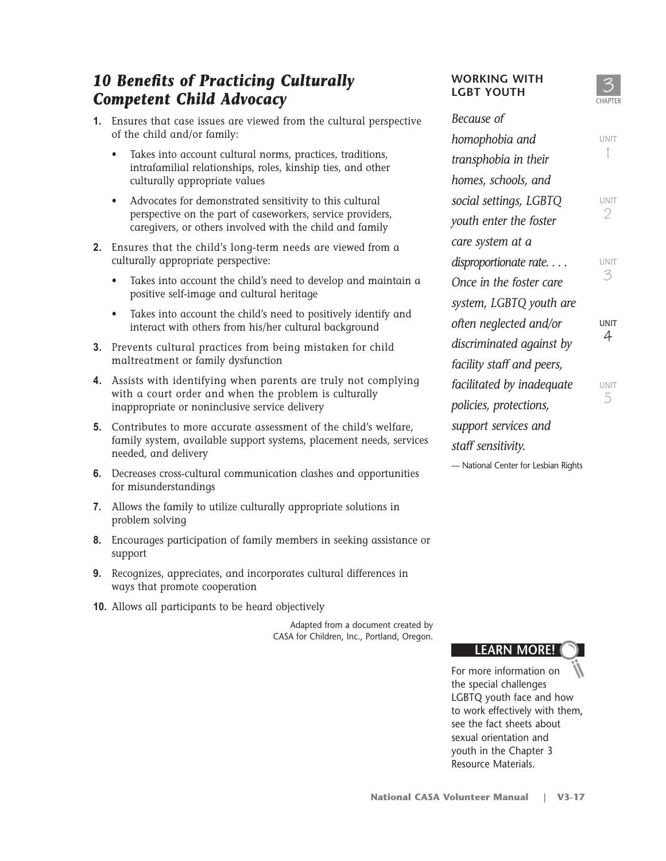# *10 Benefits of Practicing Culturally Competent Child Advocacy*

- **1.** Ensures that case issues are viewed from the cultural perspective of the child and/or family:
	- Takes into account cultural norms, practices, traditions, intrafamilial relationships, roles, kinship ties, and other culturally appropriate values
	- Advocates for demonstrated sensitivity to this cultural perspective on the part of caseworkers, service providers, caregivers, or others involved with the child and family
- **2.** Ensures that the child's long-term needs are viewed from a culturally appropriate perspective:
	- Takes into account the child's need to develop and maintain a positive self-image and cultural heritage
	- Takes into account the child's need to positively identify and interact with others from his/her cultural background
- **3.** Prevents cultural practices from being mistaken for child maltreatment or family dysfunction
- **4.** Assists with identifying when parents are truly not complying with a court order and when the problem is culturally inappropriate or noninclusive service delivery
- **5.** Contributes to more accurate assessment of the child's welfare, family system, available support systems, placement needs, services needed, and delivery
- **6.** Decreases cross-cultural communication clashes and opportunities for misunderstandings
- **7.** Allows the family to utilize culturally appropriate solutions in problem solving
- **8.** Encourages participation of family members in seeking assistance or support
- **9.** Recognizes, appreciates, and incorporates cultural differences in ways that promote cooperation
- **10.** Allows all participants to be heard objectively

Adapted from a document created by CASA for Children, Inc., Portland, Oregon.

#### **WORKING WITH LGBT YOUTH**

*Because of* 

#### 3 **CHAPTER**

UNIT 1

UNIT 3

UNIT 2

UNIT 4

UNIT 5

| occaaoc                   |
|---------------------------|
| homophobia and            |
| transphobia in their      |
| homes, schools, and       |
| social settings, LGBTQ    |
| youth enter the foster    |
| care system at a          |
| disproportionate rate.    |
| Once in the foster care   |
| system, LGBTQ youth are   |
| often neglected and/or    |
| discriminated against by  |
| facility staff and peers, |
| facilitated by inadequate |
| policies, protections,    |
| support services and      |
| staff sensitivity.        |

— National Center for Lesbian Rights

## **LEARN MORE!**

For more information on the special challenges LGBTQ youth face and how to work effectively with them, see the fact sheets about sexual orientation and youth in the Chapter 3 Resource Materials.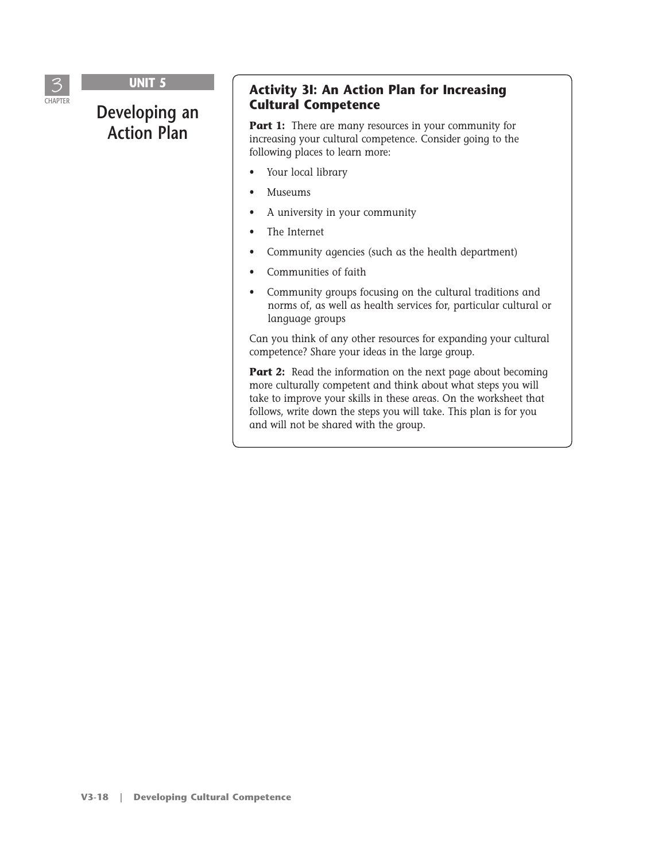

# **Developing an Action Plan**

#### **Activity 3I: An Action Plan for Increasing Cultural Competence**

**Part 1:** There are many resources in your community for increasing your cultural competence. Consider going to the following places to learn more:

- Your local library
- Museums
- A university in your community
- The Internet
- Community agencies (such as the health department)
- Communities of faith
- Community groups focusing on the cultural traditions and norms of, as well as health services for, particular cultural or language groups

Can you think of any other resources for expanding your cultural competence? Share your ideas in the large group.

**Part 2:** Read the information on the next page about becoming more culturally competent and think about what steps you will take to improve your skills in these areas. On the worksheet that follows, write down the steps you will take. This plan is for you and will not be shared with the group.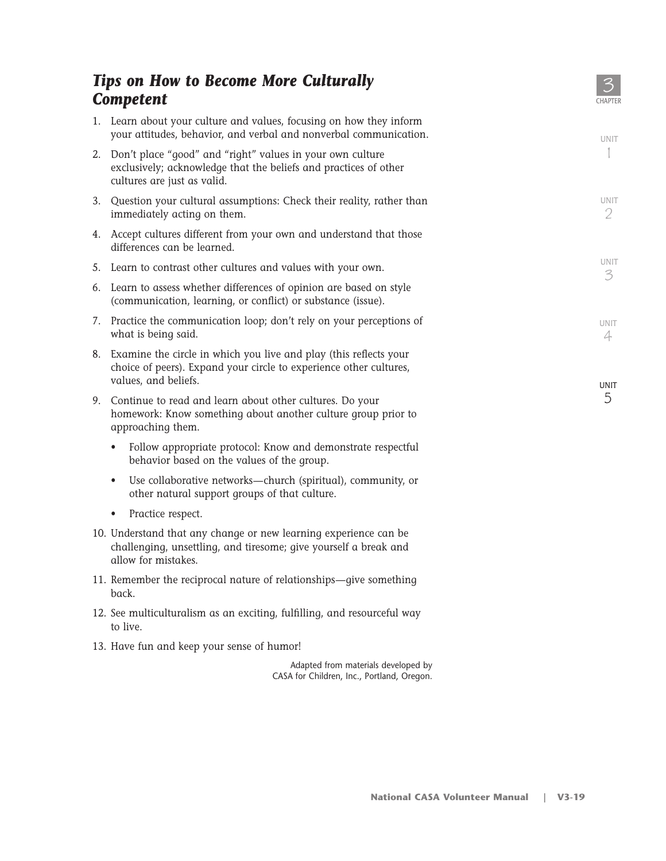|    | <b>Tips on How to Become More Culturally</b><br><b>Competent</b>                                                                                                   | <b>CHAPTER</b>   |
|----|--------------------------------------------------------------------------------------------------------------------------------------------------------------------|------------------|
|    | 1. Learn about your culture and values, focusing on how they inform<br>your attitudes, behavior, and verbal and nonverbal communication.                           | <b>UNIT</b>      |
|    | 2. Don't place "good" and "right" values in your own culture<br>exclusively; acknowledge that the beliefs and practices of other<br>cultures are just as valid.    |                  |
|    | 3. Question your cultural assumptions: Check their reality, rather than<br>immediately acting on them.                                                             | UNIT<br>2        |
|    | 4. Accept cultures different from your own and understand that those<br>differences can be learned.                                                                |                  |
|    | 5. Learn to contrast other cultures and values with your own.                                                                                                      | <b>UNIT</b><br>3 |
|    | 6. Learn to assess whether differences of opinion are based on style<br>(communication, learning, or conflict) or substance (issue).                               |                  |
|    | 7. Practice the communication loop; don't rely on your perceptions of<br>what is being said.                                                                       | <b>UNIT</b><br>4 |
|    | 8. Examine the circle in which you live and play (this reflects your<br>choice of peers). Expand your circle to experience other cultures,<br>values, and beliefs. |                  |
| 9. | Continue to read and learn about other cultures. Do your<br>homework: Know something about another culture group prior to<br>approaching them.                     | <b>UNIT</b><br>5 |
|    | Follow appropriate protocol: Know and demonstrate respectful<br>behavior based on the values of the group.                                                         |                  |
|    | Use collaborative networks-church (spiritual), community, or<br>$\bullet$<br>other natural support groups of that culture.                                         |                  |
|    | Practice respect.<br>٠                                                                                                                                             |                  |

- 10. Understand that any change or new learning experience can be challenging, unsettling, and tiresome; give yourself a break and allow for mistakes.
- 11. Remember the reciprocal nature of relationships—give something back.
- 12. See multiculturalism as an exciting, fulfilling, and resourceful way to live.
- 13. Have fun and keep your sense of humor!

Adapted from materials developed by CASA for Children, Inc., Portland, Oregon.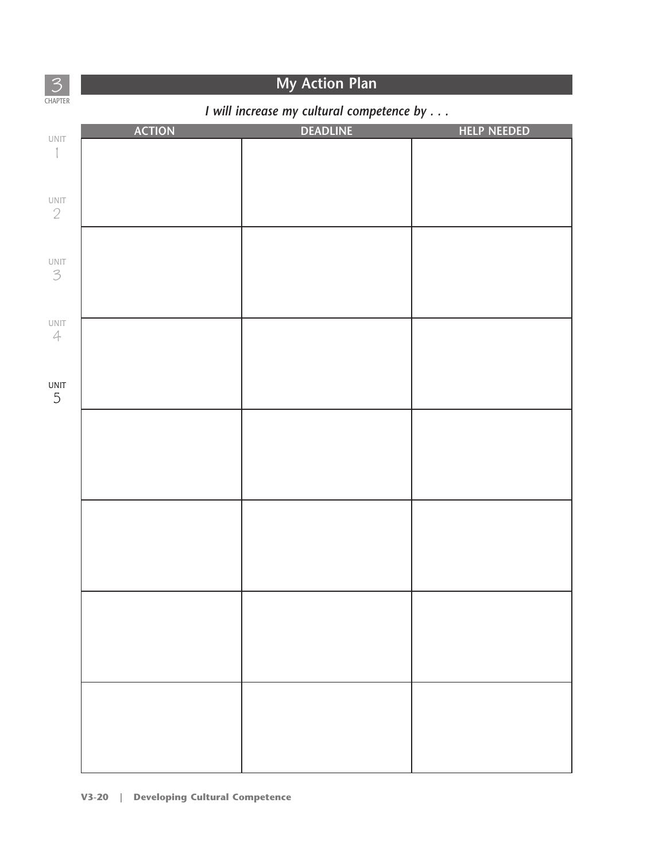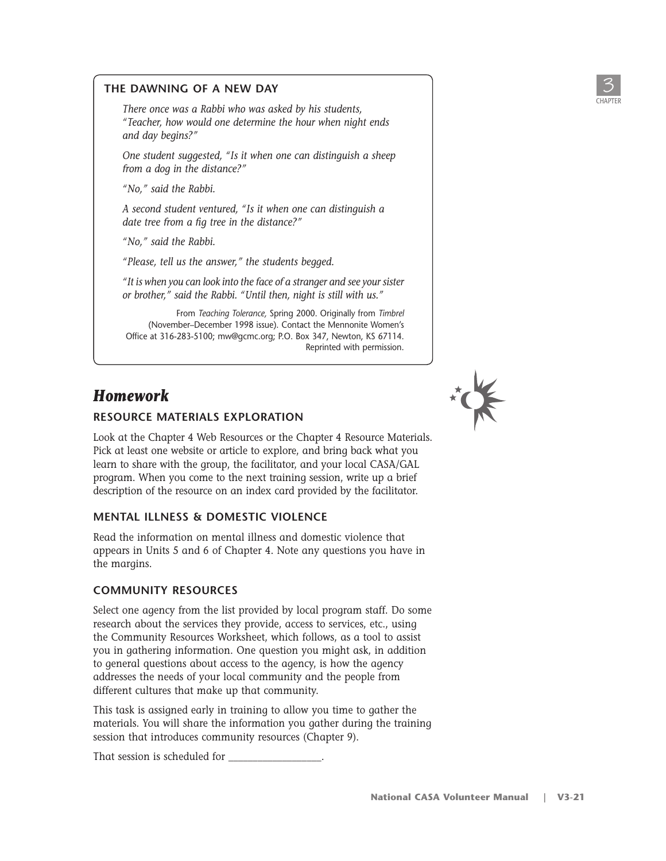

#### **THE DAWNING OF A NEW DAY**

*There once was a Rabbi who was asked by his students, "Teacher, how would one determine the hour when night ends and day begins?"*

*One student suggested, "Is it when one can distinguish a sheep from a dog in the distance?"*

*"No," said the Rabbi.*

*A second student ventured, "Is it when one can distinguish a date tree from a fig tree in the distance?"*

*"No," said the Rabbi.*

*"Please, tell us the answer," the students begged.*

*"It is when you can look into the face of a stranger and see your sister or brother," said the Rabbi. "Until then, night is still with us."*

From *Teaching Tolerance,* Spring 2000. Originally from *Timbrel* (November–December 1998 issue). Contact the Mennonite Women's Office at 316-283-5100; mw@gcmc.org; P.O. Box 347, Newton, KS 67114. Reprinted with permission.

# *Homework*

#### **RESOURCE MATERIALS EXPLORATION**

Look at the Chapter 4 Web Resources or the Chapter 4 Resource Materials. Pick at least one website or article to explore, and bring back what you learn to share with the group, the facilitator, and your local CASA/GAL program. When you come to the next training session, write up a brief description of the resource on an index card provided by the facilitator.

#### **MENTAL ILLNESS & DOMESTIC VIOLENCE**

Read the information on mental illness and domestic violence that appears in Units 5 and 6 of Chapter 4. Note any questions you have in the margins.

#### **COMMUNITY RESOURCES**

Select one agency from the list provided by local program staff. Do some research about the services they provide, access to services, etc., using the Community Resources Worksheet, which follows, as a tool to assist you in gathering information. One question you might ask, in addition to general questions about access to the agency, is how the agency addresses the needs of your local community and the people from different cultures that make up that community.

This task is assigned early in training to allow you time to gather the materials. You will share the information you gather during the training session that introduces community resources (Chapter 9).

That session is scheduled for \_\_\_\_\_\_\_\_\_\_\_\_\_\_\_\_\_\_\_.